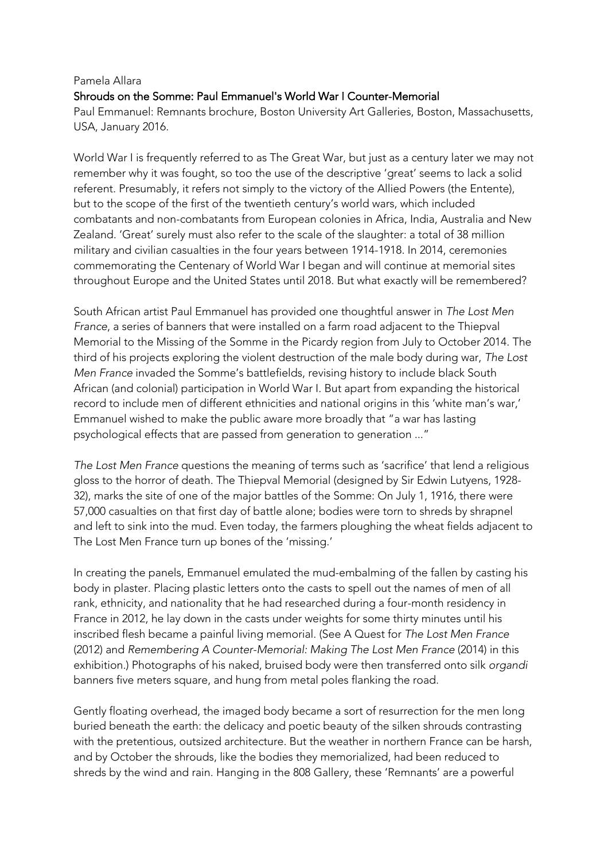## Pamela Allara Shrouds on the Somme: Paul Emmanuel's World War I Counter-Memorial Paul Emmanuel: Remnants brochure, Boston University Art Galleries, Boston, Massachusetts, USA, January 2016.

World War I is frequently referred to as The Great War, but just as a century later we may not remember why it was fought, so too the use of the descriptive 'great' seems to lack a solid referent. Presumably, it refers not simply to the victory of the Allied Powers (the Entente), but to the scope of the first of the twentieth century's world wars, which included combatants and non-combatants from European colonies in Africa, India, Australia and New Zealand. 'Great' surely must also refer to the scale of the slaughter: a total of 38 million military and civilian casualties in the four years between 1914-1918. In 2014, ceremonies commemorating the Centenary of World War I began and will continue at memorial sites throughout Europe and the United States until 2018. But what exactly will be remembered?

South African artist Paul Emmanuel has provided one thoughtful answer in *The Lost Men France*, a series of banners that were installed on a farm road adjacent to the Thiepval Memorial to the Missing of the Somme in the Picardy region from July to October 2014. The third of his projects exploring the violent destruction of the male body during war, *The Lost Men France* invaded the Somme's battlefields, revising history to include black South African (and colonial) participation in World War I. But apart from expanding the historical record to include men of different ethnicities and national origins in this 'white man's war,' Emmanuel wished to make the public aware more broadly that "a war has lasting psychological effects that are passed from generation to generation ..."

*The Lost Men France* questions the meaning of terms such as 'sacrifice' that lend a religious gloss to the horror of death. The Thiepval Memorial (designed by Sir Edwin Lutyens, 1928- 32), marks the site of one of the major battles of the Somme: On July 1, 1916, there were 57,000 casualties on that first day of battle alone; bodies were torn to shreds by shrapnel and left to sink into the mud. Even today, the farmers ploughing the wheat fields adjacent to The Lost Men France turn up bones of the 'missing.'

In creating the panels, Emmanuel emulated the mud-embalming of the fallen by casting his body in plaster. Placing plastic letters onto the casts to spell out the names of men of all rank, ethnicity, and nationality that he had researched during a four-month residency in France in 2012, he lay down in the casts under weights for some thirty minutes until his inscribed flesh became a painful living memorial. (See A Quest for *The Lost Men France* (2012) and *Remembering A Counter-Memorial: Making The Lost Men France* (2014) in this exhibition.) Photographs of his naked, bruised body were then transferred onto silk *organdi* banners five meters square, and hung from metal poles flanking the road.

Gently floating overhead, the imaged body became a sort of resurrection for the men long buried beneath the earth: the delicacy and poetic beauty of the silken shrouds contrasting with the pretentious, outsized architecture. But the weather in northern France can be harsh, and by October the shrouds, like the bodies they memorialized, had been reduced to shreds by the wind and rain. Hanging in the 808 Gallery, these 'Remnants' are a powerful